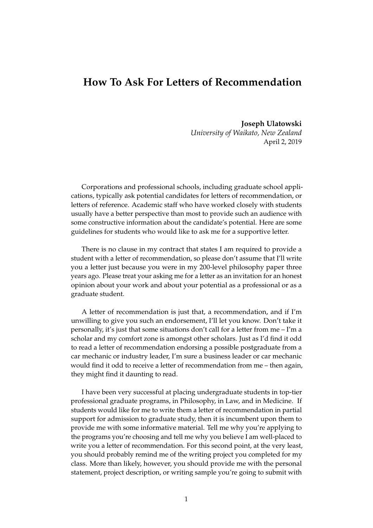## **How To Ask For Letters of Recommendation**

**Joseph Ulatowski** *University of Waikato, New Zealand* April 2, 2019

Corporations and professional schools, including graduate school applications, typically ask potential candidates for letters of recommendation, or letters of reference. Academic staff who have worked closely with students usually have a better perspective than most to provide such an audience with some constructive information about the candidate's potential. Here are some guidelines for students who would like to ask me for a supportive letter.

There is no clause in my contract that states I am required to provide a student with a letter of recommendation, so please don't assume that I'll write you a letter just because you were in my 200-level philosophy paper three years ago. Please treat your asking me for a letter as an invitation for an honest opinion about your work and about your potential as a professional or as a graduate student.

A letter of recommendation is just that, a recommendation, and if I'm unwilling to give you such an endorsement, I'll let you know. Don't take it personally, it's just that some situations don't call for a letter from me – I'm a scholar and my comfort zone is amongst other scholars. Just as I'd find it odd to read a letter of recommendation endorsing a possible postgraduate from a car mechanic or industry leader, I'm sure a business leader or car mechanic would find it odd to receive a letter of recommendation from me – then again, they might find it daunting to read.

I have been very successful at placing undergraduate students in top-tier professional graduate programs, in Philosophy, in Law, and in Medicine. If students would like for me to write them a letter of recommendation in partial support for admission to graduate study, then it is incumbent upon them to provide me with some informative material. Tell me why you're applying to the programs you're choosing and tell me why you believe I am well-placed to write you a letter of recommendation. For this second point, at the very least, you should probably remind me of the writing project you completed for my class. More than likely, however, you should provide me with the personal statement, project description, or writing sample you're going to submit with